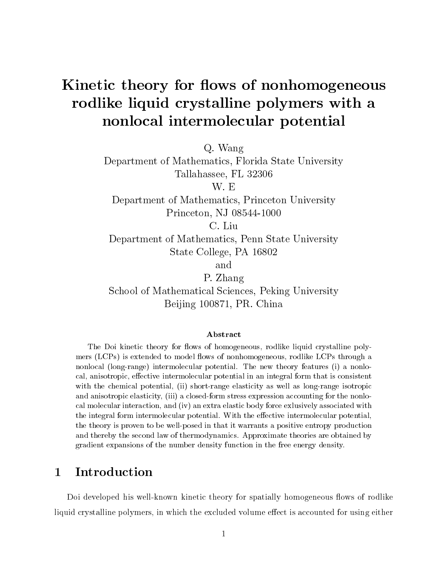# Kinetic theory for flows of nonhomogeneous rodlike liquid crystalline polymers with a nonlocal intermolecular potential

Q. Wang

Department of Mathematics, Florida State University Tallahassee, FL 32306

Department of Mathematics, Princeton University Princeton, NJ 08544-1000

C. Liu

Department of Mathematics, Penn State University State College, PA 16802

and

P. Zhang

School of Mathematical Sciences, Peking University Beijing 100871, PR. China

#### Abstract

The Doi kinetic theory for flows of homogeneous, rodlike liquid crystalline polymers  $(LCPs)$  is extended to model flows of nonhomogeneous, rodlike LCPs through a nonlocal (long-range) intermolecular potential. The new theory features (i) a nonlocal, anisotropic, effective intermolecular potential in an integral form that is consistent with the chemical potential, (ii) short-range elasticity as well as long-range isotropic and anisotropic elasticity, (iii) a closed-form stress expression accounting for the nonlocal molecular interaction, and (iv) an extra elastic body force exlusively associated with the integral form intermolecular potential. With the effective intermolecular potential, the theory is proven to be well-posed in that it warrants a positive entropy production and thereby the second law of thermodynamics. Approximate theories are obtained by gradient expansions of the number density function in the free energy density.

#### $\mathbf 1$ **Introduction**

Doi developed his well-known kinetic theory for spatially homogeneous flows of rodlike liquid crystalline polymers, in which the excluded volume effect is accounted for using either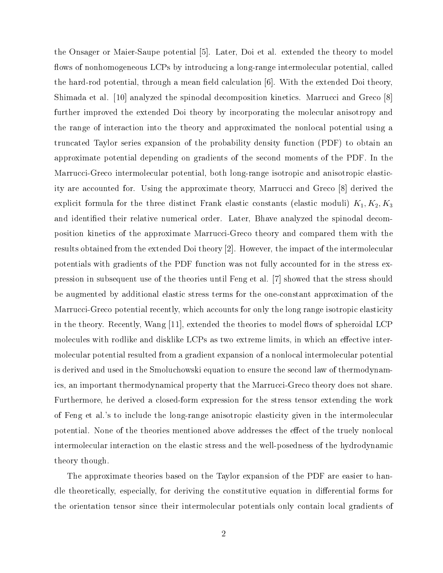the Onsager or Maier-Saupe potential [5]. Later, Doi et al. extended the theory to model flows of nonhomogeneous LCPs by introducing a long-range intermolecular potential, called the hard-rod potential, through a mean field calculation  $[6]$ . With the extended Doi theory, Shimada et al. [10] analyzed the spinodal decomposition kinetics. Marrucci and Greco [8] further improved the extended Doi theory by incorporating the molecular anisotropy and the range of interaction into the theory and approximated the nonlocal potential using a truncated Taylor series expansion of the probability density function (PDF) to obtain an approximate potential depending on gradients of the second moments of the PDF. In the Marrucci-Greco intermolecular potential, both long-range isotropic and anisotropic elasticity are accounted for. Using the approximate theory, Marrucci and Greco [8] derived the explicit formula for the three distinct Frank elastic constants (elastic moduli)  $K_1, K_2, K_3$ and identied their relative numerical order. Later, Bhave analyzed the spinodal decomposition kinetics of the approximate Marrucci-Greco theory and compared them with the results obtained from the extended Doi theory [2]. However, the impact of the intermolecular potentials with gradients of the PDF function was not fully accounted for in the stress expression in subsequent use of the theories until Feng et al. [7] showed that the stress should be augmented by additional elastic stress terms for the one-constant approximation of the Marrucci-Greco potential recently, which accounts for only the long range isotropic elasticity in the theory. Recently, Wang  $|11|$ , extended the theories to model flows of spheroidal LCP molecules with rodlike and disklike LCPs as two extreme limits, in which an effective intermolecular potential resulted from a gradient expansion of a nonlocal intermolecular potential is derived and used in the Smoluchowski equation to ensure the second law of thermodynamics, an important thermodynamical property that the Marrucci-Greco theory does not share. Furthermore, he derived a closed-form expression for the stress tensor extending the work of Feng et al.'s to include the long-range anisotropic elasticity given in the intermolecular potential. None of the theories mentioned above addresses the effect of the truely nonlocal intermolecular interaction on the elastic stress and the well-posedness of the hydrodynamic theory though.

The approximate theories based on the Taylor expansion of the PDF are easier to handle theoretically, especially, for deriving the constitutive equation in differential forms for the orientation tensor since their intermolecular potentials only contain local gradients of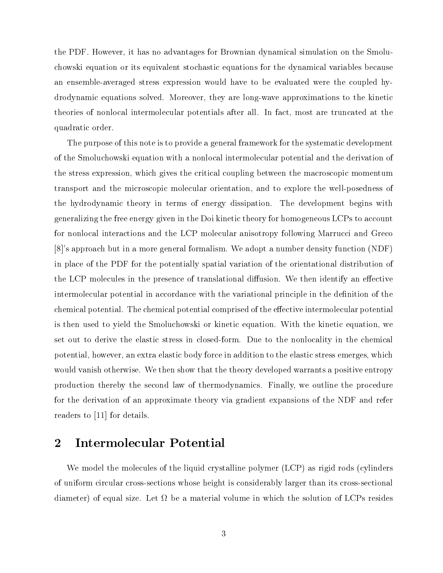the PDF. However, it has no advantages for Brownian dynamical simulation on the Smoluchowski equation or its equivalent stochastic equations for the dynamical variables because an ensemble-averaged stress expression would have to be evaluated were the coupled hydrodynamic equations solved. Moreover, they are long-wave approximations to the kinetic theories of nonlocal intermolecular potentials after all. In fact, most are truncated at the quadratic order.

The purpose of this note is to provide a general framework for the systematic development of the Smoluchowski equation with a nonlocal intermolecular potential and the derivation of the stress expression, which gives the critical coupling between the macroscopic momentum transport and the microscopic molecular orientation, and to explore the well-posedness of the hydrodynamic theory in terms of energy dissipation. The development begins with generalizing the free energy given in the Doi kinetic theory for homogeneous LCPs to account for nonlocal interactions and the LCP molecular anisotropy following Marrucci and Greco [8]'s approach but in a more general formalism. We adopt a number density function (NDF) in place of the PDF for the potentially spatial variation of the orientational distribution of the LCP molecules in the presence of translational diffusion. We then identify an effective intermolecular potential in accordance with the variational principle in the definition of the chemical potential. The chemical potential comprised of the effective intermolecular potential is then used to yield the Smoluchowski or kinetic equation. With the kinetic equation, we set out to derive the elastic stress in closed-form. Due to the nonlocality in the chemical potential, however, an extra elastic body force in addition to the elastic stress emerges, which would vanish otherwise. We then show that the theory developed warrants a positive entropy production thereby the second law of thermodynamics. Finally, we outline the procedure for the derivation of an approximate theory via gradient expansions of the NDF and refer readers to [11] for details.

## 2 Intermolecular Potential

We model the molecules of the liquid crystalline polymer (LCP) as rigid rods (cylinders of uniform circular cross-sections whose height is considerably larger than its cross-sectional diameters) of equal size. Let it which the solution of LCPs resides the solution of LCPs residence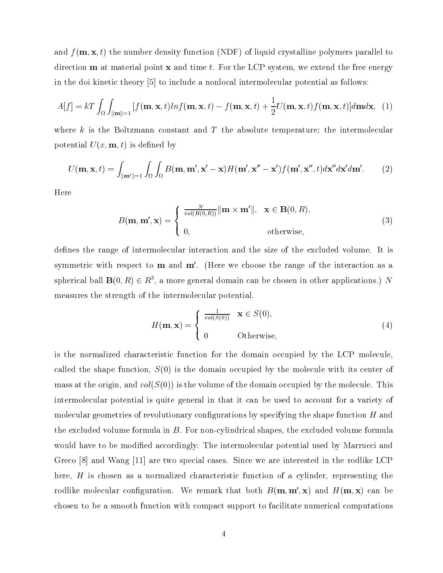and  $f(\mathbf{m}, \mathbf{x}, t)$  the number density function (NDF) of liquid crystalline polymers parallel to direction  **at material point**  $**x**$  **and time t. For the LCP system, we extend the free energy** in the doi kinetic theory [5] to include a nonlocal intermolecular potential as follows:

$$
A[f] = kT \int_{\Omega} \int_{\|\mathbf{m}\| = 1} [f(\mathbf{m}, \mathbf{x}, t) ln f(\mathbf{m}, \mathbf{x}, t) - f(\mathbf{m}, \mathbf{x}, t) + \frac{1}{2} U(\mathbf{m}, \mathbf{x}, t) f(\mathbf{m}, \mathbf{x}, t)] d\mathbf{m} d\mathbf{x}, \tag{1}
$$

where  $k$  is the Boltzmann constant and  $T$  the absolute temperature; the intermolecular potential  $U(x, \mathbf{m}, t)$  is defined by

$$
U(\mathbf{m}, \mathbf{x}, t) = \int_{\|\mathbf{m}'\|=1} \int_{\Omega} \int_{\Omega} B(\mathbf{m}, \mathbf{m}', \mathbf{x}' - \mathbf{x}) H(\mathbf{m}', \mathbf{x}'' - \mathbf{x}') f(\mathbf{m}', \mathbf{x}'', t) d\mathbf{x}'' d\mathbf{x}' d\mathbf{m}'. \tag{2}
$$

Here

$$
B(\mathbf{m}, \mathbf{m}', \mathbf{x}) = \begin{cases} \frac{N}{vol(B(0,R))} ||\mathbf{m} \times \mathbf{m}'||, & \mathbf{x} \in \mathbf{B}(0,R), \\ 0, & \text{otherwise,} \end{cases}
$$
(3)

defines the range of intermolecular interaction and the size of the excluded volume. It is symmetric with respect to  **and**  $**m'**$ **. (Here we choose the range of the interaction as a** spherical ball  $\mathbf{D}(0, R) \in R^+,$  a more general domain can be chosen in other applications.) N measures the strength of the intermolecular potential.

$$
H(\mathbf{m}, \mathbf{x}) = \begin{cases} \frac{1}{vol(S(0))} & \mathbf{x} \in S(0), \\ 0 & \text{Otherwise,} \end{cases}
$$
 (4)

is the normalized characteristic function for the domain occupied by the LCP molecule, called the shape function,  $S(0)$  is the domain occupied by the molecule with its center of mass at the origin, and  $vol(S(0))$  is the volume of the domain occupied by the molecule. This intermolecular potential is quite general in that it can be used to account for a variety of molecular geometries of revolutionary configurations by specifying the shape function  $H$  and the excluded volume formula in  $B$ . For non-cylindrical shapes, the excluded volume formula would have to be modified accordingly. The intermolecular potential used by Marrucci and Greco [8] and Wang [11] are two special cases. Since we are interested in the rodlike LCP here, H is chosen as a normalized characteristic function of a cylinder, representing the rodlike molecular configuration. We remark that both  $B(\mathbf{m}, \mathbf{m}', \mathbf{x})$  and  $H(\mathbf{m}, \mathbf{x})$  can be chosen to be a smooth function with compact support to facilitate numerical computations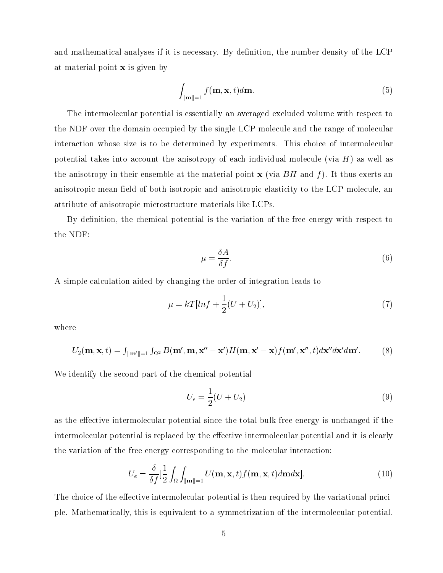and mathematical analyses if it is necessary. By definition, the number density of the LCP at material point x is given by

$$
\int_{\|\mathbf{m}\|=1} f(\mathbf{m}, \mathbf{x}, t) d\mathbf{m}.\tag{5}
$$

The intermolecular potential is essentially an averaged excluded volume with respect to the NDF over the domain occupied by the single LCP molecule and the range of molecular interaction whose size is to be determined by experiments. This choice of intermolecular potential takes into account the anisotropy of each individual molecule (via  $H$ ) as well as the anisotropy in their ensemble at the material point  $x$  (via  $BH$  and f). It thus exerts an anisotropic mean field of both isotropic and anisotropic elasticity to the LCP molecule, an attribute of anisotropic microstructure materials like LCPs.

By definition, the chemical potential is the variation of the free energy with respect to the NDF:

$$
\mu = \frac{\delta A}{\delta f}.\tag{6}
$$

A simple calculation aided by changing the order of integration leads to

$$
\mu = kT[ln f + \frac{1}{2}(U + U_2)],
$$
\n(7)

where

$$
U_2(\mathbf{m}, \mathbf{x}, t) = \int_{\|\mathbf{m}'\|=1} \int_{\Omega^2} B(\mathbf{m}', \mathbf{m}, \mathbf{x}'' - \mathbf{x}') H(\mathbf{m}, \mathbf{x}' - \mathbf{x}) f(\mathbf{m}', \mathbf{x}'', t) d\mathbf{x}'' d\mathbf{x}' d\mathbf{m}'. \tag{8}
$$

We identify the second part of the chemical potential

$$
U_e = \frac{1}{2}(U + U_2)
$$
\n(9)

as the effective intermolecular potential since the total bulk free energy is unchanged if the intermolecular potential is replaced by the effective intermolecular potential and it is clearly the variation of the free energy corresponding to the molecular interaction:

$$
U_e = \frac{\delta}{\delta f} \left[ \frac{1}{2} \int_{\Omega} \int_{\|\mathbf{m}\| = 1} U(\mathbf{m}, \mathbf{x}, t) f(\mathbf{m}, \mathbf{x}, t) d\mathbf{m} d\mathbf{x} \right].
$$
 (10)

The choice of the effective intermolecular potential is then required by the variational principle. Mathematically, this is equivalent to a symmetrization of the intermolecular potential.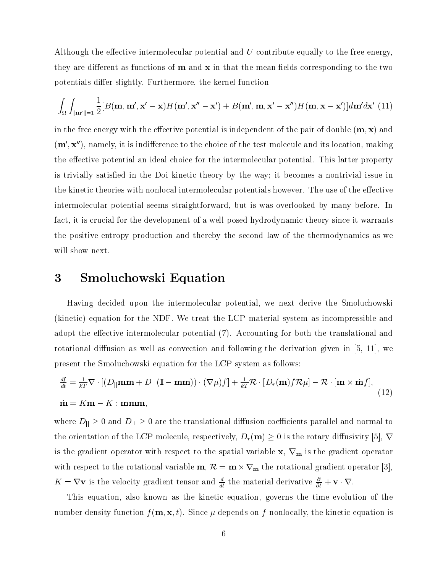Although the effective intermolecular potential and  $U$  contribute equally to the free energy, they are different as functions of  $m$  and  $x$  in that the mean fields corresponding to the two potentials differ slightly. Furthermore, the kernel function

$$
\int_{\Omega} \int_{\|\mathbf{m}'\|=1} \frac{1}{2} [B(\mathbf{m}, \mathbf{m}', \mathbf{x}' - \mathbf{x}) H(\mathbf{m}', \mathbf{x}'' - \mathbf{x}') + B(\mathbf{m}', \mathbf{m}, \mathbf{x}' - \mathbf{x}'') H(\mathbf{m}, \mathbf{x} - \mathbf{x}')] d\mathbf{m}' d\mathbf{x}' \tag{11}
$$

in the free energy with the effective potential is independent of the pair of double  $(m, x)$  and  $(m', x'')$ , namely, it is indifference to the choice of the test molecule and its location, making the effective potential an ideal choice for the intermolecular potential. This latter property is trivially satisfied in the Doi kinetic theory by the way; it becomes a nontrivial issue in the kinetic theories with nonlocal intermolecular potentials however. The use of the effective intermolecular potential seems straightforward, but is was overlooked by many before. In fact, it is crucial for the development of a well-posed hydrodynamic theory since it warrants the positive entropy production and thereby the second law of the thermodynamics as we will show next.

#### 3 Smoluchowski Equation 3

Having decided upon the intermolecular potential, we next derive the Smoluchowski (kinetic) equation for the NDF. We treat the LCP material system as incompressible and adopt the effective intermolecular potential (7). Accounting for both the translational and rotational diffusion as well as convection and following the derivation given in  $[5, 11]$ , we present the Smoluchowski equation for the LCP system as follows:

$$
\frac{df}{dt} = \frac{1}{kT} \nabla \cdot \left[ (D_{\parallel} \mathbf{m} \mathbf{m} + D_{\perp} (\mathbf{I} - \mathbf{m} \mathbf{m})) \cdot (\nabla \mu) f \right] + \frac{1}{kT} \mathcal{R} \cdot [D_r(\mathbf{m}) f \mathcal{R} \mu] - \mathcal{R} \cdot [\mathbf{m} \times \dot{\mathbf{m}} f],
$$
\n
$$
\dot{\mathbf{m}} = K \mathbf{m} - K : \mathbf{m} \mathbf{m} \mathbf{m}.
$$
\n(12)

where  $D_{\parallel} \geq 0$  and  $D_{\perp} \geq 0$  are the translational diffusion coefficients parallel and normal to the orientation of the LCP molecule, respectively,  $D_r(\mathbf{m}) \geq 0$  is the rotary diffusivity [5],  $\nabla$ is the gradient operator with respect to the spatial variable  $x, \nabla_{m}$  is the gradient operator  $\frac{1}{2}$  respect to the rotational variable m,  $\mathcal{V} = \mathbf{m} \wedge \mathbf{v}$  iff the rotational gradient operator  $\mathbf{v}$  $K = VV$  is the velocity gradient tensor and  $\frac{d}{dt}$  the material derivative  $\frac{1}{\partial t} + V \cdot V$ .

This equation, also known as the kinetic equation, governs the time evolution of the number density function  $f(\mathbf{m}, \mathbf{x}, t)$ . Since  $\mu$  depends on f nonlocally, the kinetic equation is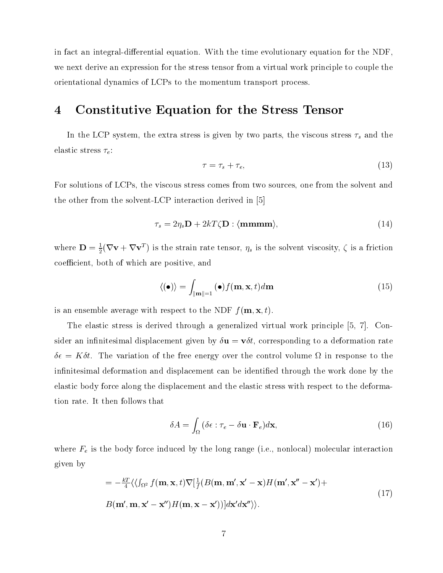in fact an integral-differential equation. With the time evolutionary equation for the NDF. we next derive an expression for the stress tensor from a virtual work principle to couple the orientational dynamics of LCPs to the momentum transport process.

## 4 Constitutive Equation for the Stress Tensor

In the LCP system, the extra stress is given by two parts, the viscous stress  $\tau_s$  and the elastic stress  $\tau_e$ :

$$
\tau = \tau_s + \tau_e,\tag{13}
$$

For solutions of LCPs, the viscous stress comes from two sources, one from the solvent and the other from the solvent-LCP interaction derived in [5]

$$
\tau_s = 2\eta_s \mathbf{D} + 2kT\zeta \mathbf{D} : \langle \mathbf{mmmm} \rangle, \tag{14}
$$

where  $\mathbf{D} = \frac{1}{2}(\mathbf{V}\mathbf{V} + \mathbf{V}\mathbf{V}^*)$  is the strain rate tensor,  $\eta_s$  is the solvent viscosity,  $\zeta$  is a friction coefficient, both of which are positive, and

$$
\langle (\bullet) \rangle = \int_{\|\mathbf{m}\|=1} (\bullet) f(\mathbf{m}, \mathbf{x}, t) d\mathbf{m}
$$
 (15)

is an ensemble average with respect to the NDF  $f(\mathbf{m}, \mathbf{x}, t)$ .

The elastic stress is derived through a generalized virtual work principle [5, 7]. Consider an infinitesimal displacement given by  $\delta \mathbf{u} = \mathbf{v} \delta t$ , corresponding to a deformation rate = Kt. The variation of the free energy over the control volume in response to the infinitesimal deformation and displacement can be identified through the work done by the elastic body force along the displacement and the elastic stress with respect to the deformation rate. It then follows that

$$
\delta A = \int_{\Omega} (\delta \epsilon : \tau_e - \delta \mathbf{u} \cdot \mathbf{F}_e) d\mathbf{x},\tag{16}
$$

where  $F_e$  is the body force induced by the long range (i.e., nonlocal) molecular interaction given by

$$
= -\frac{kT}{4} \langle \langle \int_{\Omega^2} f(\mathbf{m}, \mathbf{x}, t) \nabla \left[ \frac{1}{f} (B(\mathbf{m}, \mathbf{m}', \mathbf{x}' - \mathbf{x}) H(\mathbf{m}', \mathbf{x}'' - \mathbf{x}') + B(\mathbf{m}', \mathbf{m}, \mathbf{x}' - \mathbf{x}'') H(\mathbf{m}, \mathbf{x} - \mathbf{x}') \rangle \rangle \right]
$$
(17)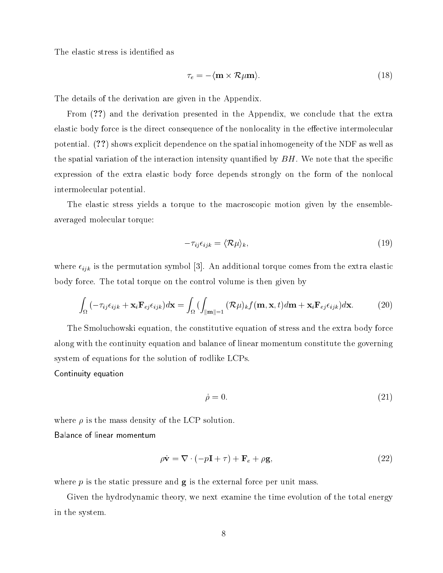The elastic stress is identified as

$$
\tau_e = -\langle \mathbf{m} \times \mathcal{R} \mu \mathbf{m} \rangle. \tag{18}
$$

The details of the derivation are given in the Appendix.

From (??) and the derivation presented in the Appendix, we conclude that the extra elastic body force is the direct consequence of the nonlocality in the effective intermolecular potential. (??) shows explicit dependence on the spatial inhomogeneity of the NDF as well as the spatial variation of the interaction intensity quantified by  $BH$ . We note that the specific expression of the extra elastic body force depends strongly on the form of the nonlocal intermolecular potential.

The elastic stress yields a torque to the macroscopic motion given by the ensembleaveraged molecular torque:

$$
-\tau_{ij}\epsilon_{ijk} = \langle \mathcal{R}\mu \rangle_k,\tag{19}
$$

where  $\epsilon_{ijk}$  is the permutation symbol [3]. An additional torque comes from the extra elastic body force. The total torque on the control volume is then given by

$$
\int_{\Omega} \left( -\tau_{ij}\epsilon_{ijk} + \mathbf{x}_i \mathbf{F}_{ej}\epsilon_{ijk} \right) d\mathbf{x} = \int_{\Omega} \left( \int_{\|\mathbf{m}\| = 1} \left( \mathcal{R}\mu \right)_k f(\mathbf{m}, \mathbf{x}, t) d\mathbf{m} + \mathbf{x}_i \mathbf{F}_{ej}\epsilon_{ijk} \right) d\mathbf{x}.
$$
 (20)

The Smoluchowski equation, the constitutive equation of stress and the extra body force along with the continuity equation and balance of linear momentum constitute the governing system of equations for the solution of rodlike LCPs.

Continuity equation

$$
\dot{\rho} = 0. \tag{21}
$$

where  $\rho$  is the mass density of the LCP solution.

Balance of linear momentum

$$
\rho \dot{\mathbf{v}} = \nabla \cdot (-p\mathbf{I} + \tau) + \mathbf{F}_e + \rho \mathbf{g},\tag{22}
$$

where  $p$  is the static pressure and  $g$  is the external force per unit mass.

Given the hydrodynamic theory, we next examine the time evolution of the total energy in the system.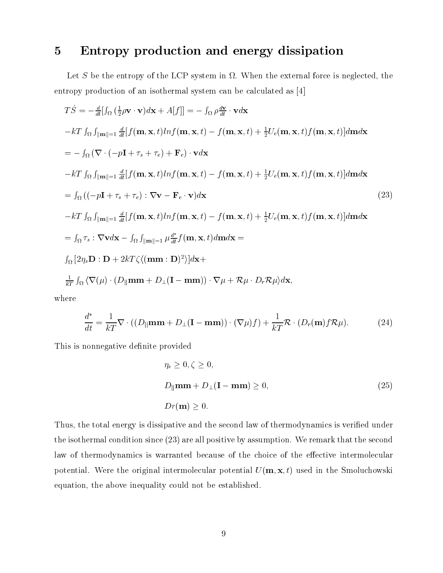## 5 Entropy production and energy dissipation

Let S be the entropy of the LCP system in . When the external force is neglected, the entropy production of an isothermal system can be calculated as [4]

$$
T\dot{S} = -\frac{d}{dt} [f_{\Omega} (\frac{1}{2}\rho \mathbf{v} \cdot \mathbf{v})d\mathbf{x} + A[f]] = -f_{\Omega} \rho \frac{d\mathbf{v}}{dt} \cdot \mathbf{v}d\mathbf{x}
$$
  
\n
$$
-kT \int_{\Omega} \int_{\|\mathbf{m}\|=\frac{1}{2\mu}} [f(\mathbf{m}, \mathbf{x}, t)ln f(\mathbf{m}, \mathbf{x}, t) - f(\mathbf{m}, \mathbf{x}, t) + \frac{1}{2} U_e(\mathbf{m}, \mathbf{x}, t) f(\mathbf{m}, \mathbf{x}, t)] d\mathbf{m}d\mathbf{x}
$$
  
\n
$$
= -f_{\Omega} (\nabla \cdot (-p\mathbf{I} + \tau_s + \tau_e) + \mathbf{F}_e) \cdot \mathbf{v}d\mathbf{x}
$$
  
\n
$$
-kT \int_{\Omega} \int_{\|\mathbf{m}\|=\frac{1}{2\mu}} [f(\mathbf{m}, \mathbf{x}, t)ln f(\mathbf{m}, \mathbf{x}, t) - f(\mathbf{m}, \mathbf{x}, t) + \frac{1}{2} U_e(\mathbf{m}, \mathbf{x}, t) f(\mathbf{m}, \mathbf{x}, t)] d\mathbf{m}d\mathbf{x}
$$
  
\n
$$
= f_{\Omega} ((-\rho \mathbf{I} + \tau_s + \tau_e) : \nabla \mathbf{v} - \mathbf{F}_e \cdot \mathbf{v})d\mathbf{x}
$$
  
\n
$$
= f_{\Omega} \int_{\|\mathbf{m}\|=\frac{1}{2\mu}} [f(\mathbf{m}, \mathbf{x}, t)ln f(\mathbf{m}, \mathbf{x}, t) - f(\mathbf{m}, \mathbf{x}, t) + \frac{1}{2} U_e(\mathbf{m}, \mathbf{x}, t) f(\mathbf{m}, \mathbf{x}, t)]d\mathbf{m}d\mathbf{x}
$$
  
\n
$$
= f_{\Omega} \tau_s : \nabla \mathbf{v}d\mathbf{x} - f_{\Omega} \int_{\|\mathbf{m}\|=\frac{1}{2\mu}} \mu \frac{d^*}{dt} f(\mathbf{m}, \mathbf{x}, t) d\mathbf{m}d\mathbf{x} =
$$
  
\n
$$
\int_{\Omega} [2\eta_s \mathbf{D} : \mathbf{D
$$

where

$$
\frac{d^*}{dt} = \frac{1}{kT} \nabla \cdot ((D_{||} \mathbf{m} \mathbf{m} + D_{\perp} (\mathbf{I} - \mathbf{m} \mathbf{m})) \cdot (\nabla \mu) f) + \frac{1}{kT} \mathcal{R} \cdot (D_r(\mathbf{m}) f \mathcal{R} \mu).
$$
 (24)

This is nonnegative definite provided

$$
\eta_s \ge 0, \zeta \ge 0,
$$
  
\n
$$
D_{\parallel} \mathbf{m} \mathbf{m} + D_{\perp} (\mathbf{I} - \mathbf{m} \mathbf{m}) \ge 0,
$$
  
\n
$$
Dr(\mathbf{m}) \ge 0.
$$
\n(25)

Thus, the total energy is dissipative and the second law of thermodynamics is veried under the isothermal condition since (23) are all positive by assumption. We remark that the second law of thermodynamics is warranted because of the choice of the effective intermolecular potential. Were the original intermolecular potential  $U(\mathbf{m}, \mathbf{x}, t)$  used in the Smoluchowski equation, the above inequality could not be established.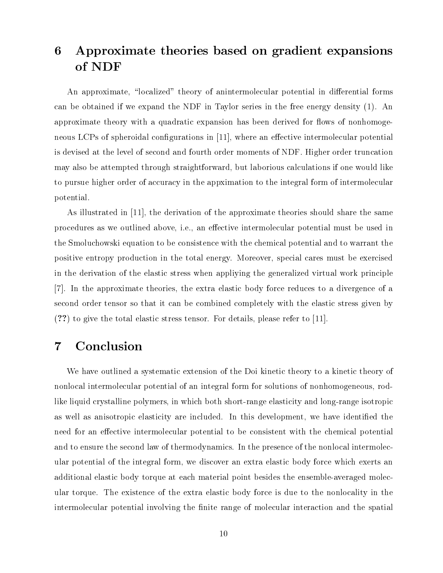#### 6 Approximate theories based on gradient expansions 6 of NDF

An approximate, "localized" theory of anintermolecular potential in differential forms can be obtained if we expand the NDF in Taylor series in the free energy density (1). An approximate theory with a quadratic expansion has been derived for flows of nonhomogeneous LCPs of spheroidal configurations in  $[11]$ , where an effective intermolecular potential is devised at the level of second and fourth order moments of NDF. Higher order truncation may also be attempted through straightforward, but laborious calculations if one would like to pursue higher order of accuracy in the appximation to the integral form of intermolecular potential.

As illustrated in [11], the derivation of the approximate theories should share the same procedures as we outlined above, i.e., an effective intermolecular potential must be used in the Smoluchowski equation to be consistence with the chemical potential and to warrant the positive entropy production in the total energy. Moreover, special cares must be exercised in the derivation of the elastic stress when appliying the generalized virtual work principle [7]. In the approximate theories, the extra elastic body force reduces to a divergence of a second order tensor so that it can be combined completely with the elastic stress given by (??) to give the total elastic stress tensor. For details, please refer to [11].

## 7 Conclusion

We have outlined a systematic extension of the Doi kinetic theory to a kinetic theory of nonlocal intermolecular potential of an integral form for solutions of nonhomogeneous, rodlike liquid crystalline polymers, in which both short-range elasticity and long-range isotropic as well as anisotropic elasticity are included. In this development, we have identified the need for an effective intermolecular potential to be consistent with the chemical potential and to ensure the second law of thermodynamics. In the presence of the nonlocal intermolecular potential of the integral form, we discover an extra elastic body force which exerts an additional elastic body torque at each material point besides the ensemble-averaged molecular torque. The existence of the extra elastic body force is due to the nonlocality in the intermolecular potential involving the finite range of molecular interaction and the spatial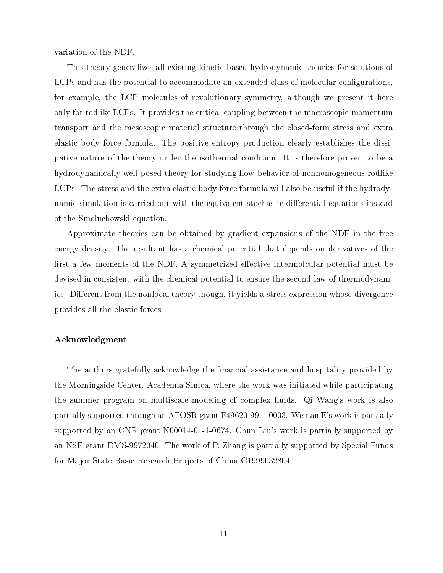variation of the NDF.

This theory generalizes all existing kinetic-based hydrodynamic theories for solutions of LCPs and has the potential to accommodate an extended class of molecular configurations, for example, the LCP molecules of revolutionary symmetry, although we present it here only for rodlike LCPs. It provides the critical coupling between the macroscopic momentum transport and the mesoscopic material structure through the closed-form stress and extra elastic body force formula. The positive entropy production clearly establishes the dissipative nature of the theory under the isothermal condition. It is therefore proven to be a hydrodynamically well-posed theory for studying flow behavior of nonhomogeneous rodlike LCPs. The stress and the extra elastic body force formula will also be useful if the hydrodynamic simulation is carried out with the equivalent stochastic differential equations instead of the Smoluchowski equation.

Approximate theories can be obtained by gradient expansions of the NDF in the free energy density. The resultant has a chemical potential that depends on derivatives of the first a few moments of the NDF. A symmetrized effective intermolcular potential must be devised in consistent with the chemical potential to ensure the second law of thermodynamics. Different from the nonlocal theory though, it yields a stress expression whose divergence provides all the elastic forces.

#### Acknowledgment

The authors gratefully acknowledge the financial assistance and hospitality provided by the Morningside Center, Academia Sinica, where the work was initiated while participating the summer program on multiscale modeling of complex fluids. Qi Wang's work is also partially supported through an AFOSR grant F49620-99-1-0003. Weinan E's work is partially supported by an ONR grant  $N00014-01-1-0674$ . Chun Liu's work is partially supported by an NSF grant DMS-9972040. The work of P. Zhang is partially supported by Special Funds for Major State Basic Research Projects of China G1999032804.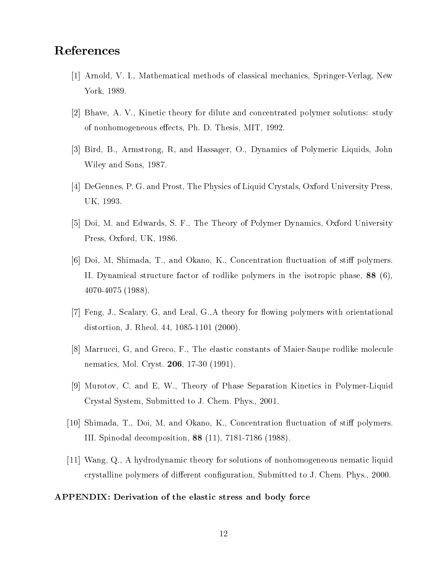## References

- [1] Arnold, V. I., Mathematical methods of classical mechanics, Springer-Verlag, New York, 1989.
- [2] Bhave, A. V., Kinetic theory for dilute and concentrated polymer solutions: study of nonhomogeneous effects, Ph. D. Thesis, MIT, 1992.
- [3] Bird, B., Armstrong, R, and Hassager, O., Dynamics of Polymeric Liquids, John Wiley and Sons, 1987.
- [4] DeGennes, P. G. and Prost, The Physics of Liquid Crystals, Oxford University Press, UK, 1993.
- [5] Doi, M. and Edwards, S. F., The Theory of Polymer Dynamics, Oxford University Press, Oxford, UK, 1986.
- [6] Doi, M, Shimada, T., and Okano, K., Concentration fluctuation of stiff polymers. II. Dynamical structure factor of rodlike polymers in the isotropic phase, 88 (6), 4070-4075 (1988).
- [7] Feng, J., Scalary, G, and Leal, G.,A theory for flowing polymers with orientational distortion, J. Rheol. 44, 1085-1101 (2000).
- [8] Marrucci, G, and Greco, F., The elastic constants of Maier-Saupe rodlike molecule nematics, Mol. Cryst. 206, 17-30 (1991).
- [9] Murotov, C. and E, W., Theory of Phase Separation Kinetics in Polymer-Liquid Crystal System, Submitted to J. Chem. Phys., 2001.
- [10] Shimada, T., Doi, M, and Okano, K., Concentration fluctuation of stiff polymers. III. Spinodal decomposition, 88 (11), 7181-7186 (1988).
- [11] Wang, Q., A hydrodynamic theory for solutions of nonhomogeneous nematic liquid crystalline polymers of different configuration, Submitted to J. Chem. Phys., 2000.

### APPENDIX: Derivation of the elastic stress and body force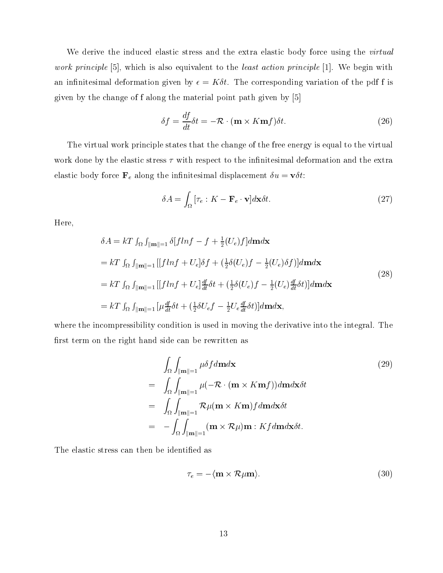We derive the induced elastic stress and the extra elastic body force using the *virtual* work principle [5], which is also equivalent to the least action principle [1]. We begin with an infinitesimal deformation given by  $\epsilon = K \delta t$ . The corresponding variation of the pdf f is given by the change of f along the material point path given by [5]

$$
\delta f = \frac{df}{dt}\delta t = -\mathcal{R} \cdot (\mathbf{m} \times K \mathbf{m} f)\delta t.
$$
 (26)

The virtual work principle states that the change of the free energy is equal to the virtual work done by the elastic stress  $\tau$  with respect to the infinitesimal deformation and the extra elastic body force  $\mathbf{F}_e$  along the infinitesimal displacement  $\delta u = \mathbf{v} \delta t$ :

$$
\delta A = \int_{\Omega} \left[ \tau_e : K - \mathbf{F}_e \cdot \mathbf{v} \right] d\mathbf{x} \delta t. \tag{27}
$$

Here,

$$
\delta A = kT \int_{\Omega} \int_{\|\mathbf{m}\| = 1} \delta[fln f - f + \frac{1}{2}(U_e)f] d\mathbf{m} d\mathbf{x}
$$
  
\n
$$
= kT \int_{\Omega} \int_{\|\mathbf{m}\| = 1} [[fln f + U_e] \delta f + (\frac{1}{2}\delta(U_e) f - \frac{1}{2}(U_e) \delta f)] d\mathbf{m} d\mathbf{x}
$$
  
\n
$$
= kT \int_{\Omega} \int_{\|\mathbf{m}\| = 1} [[fln f + U_e] \frac{df}{dt} \delta t + (\frac{1}{2}\delta(U_e) f - \frac{1}{2}(U_e) \frac{df}{dt} \delta t)] d\mathbf{m} d\mathbf{x}
$$
  
\n
$$
= kT \int_{\Omega} \int_{\|\mathbf{m}\| = 1} [\mu \frac{df}{dt} \delta t + (\frac{1}{2}\delta U_e f - \frac{1}{2} U_e \frac{df}{dt} \delta t)] d\mathbf{m} d\mathbf{x},
$$
\n(28)

where the incompressibility condition is used in moving the derivative into the integral. The first term on the right hand side can be rewritten as

$$
\int_{\Omega} \int_{\|\mathbf{m}\|=1} \mu \delta f d\mathbf{m} d\mathbf{x} \qquad (29)
$$
\n
$$
= \int_{\Omega} \int_{\|\mathbf{m}\|=1} \mu(-\mathcal{R} \cdot (\mathbf{m} \times K \mathbf{m} f)) d\mathbf{m} d\mathbf{x} \delta t
$$
\n
$$
= \int_{\Omega} \int_{\|\mathbf{m}\|=1} \mathcal{R} \mu(\mathbf{m} \times K \mathbf{m}) f d\mathbf{m} d\mathbf{x} \delta t
$$
\n
$$
= - \int_{\Omega} \int_{\|\mathbf{m}\|=1} (\mathbf{m} \times \mathcal{R} \mu) \mathbf{m} : K f d\mathbf{m} d\mathbf{x} \delta t.
$$

The elastic stress can then be identified as

$$
\tau_e = -\langle \mathbf{m} \times \mathcal{R} \mu \mathbf{m} \rangle. \tag{30}
$$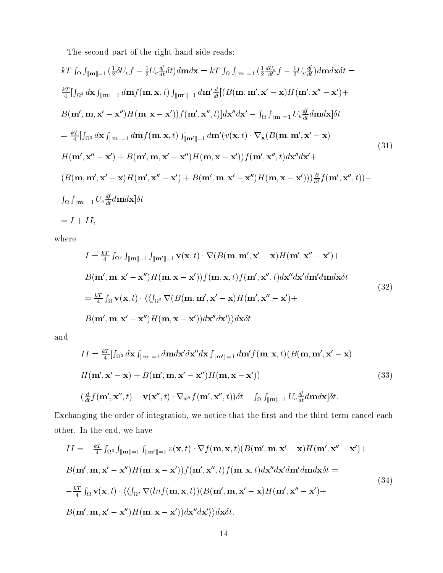The second part of the right hand side reads:

$$
kT \int_{\Omega} \int_{\|\mathbf{m}\|=1} \left(\frac{1}{2}\delta U_{e}f - \frac{1}{2}U_{e}\frac{df}{dt}\delta t\right)d\mathbf{m}d\mathbf{x} = kT \int_{\Omega} \int_{\|\mathbf{m}\|=1} \left(\frac{1}{2}\frac{dU_{e}}{dt}f - \frac{1}{2}U_{e}\frac{df}{dt}\right)d\mathbf{m}d\mathbf{x}\delta t =
$$
\n
$$
\frac{kT}{4}\left[\int_{\Omega^{3}} d\mathbf{x} \int_{\|\mathbf{m}\|=1} d\mathbf{m} f(\mathbf{m}, \mathbf{x}, t) \int_{\|\mathbf{m}'\|=1} d\mathbf{m}' \frac{d}{dt} \left[(B(\mathbf{m}, \mathbf{m}', \mathbf{x}' - \mathbf{x})H(\mathbf{m}', \mathbf{x}'' - \mathbf{x}') + B(\mathbf{m}', \mathbf{m}, \mathbf{x}' - \mathbf{x}'')\right]H(\mathbf{m}, \mathbf{x} - \mathbf{x}')\right]f(\mathbf{m}', \mathbf{x}'', t)\right]d\mathbf{x}''d\mathbf{x}' - \int_{\Omega} \int_{\|\mathbf{m}\|=1} U_{e}\frac{df}{dt}d\mathbf{m}d\mathbf{x}\right]\delta t
$$
\n
$$
= \frac{kT}{4}\left[\int_{\Omega^{3}} d\mathbf{x} \int_{\|\mathbf{m}\|=1} d\mathbf{m} f(\mathbf{m}, \mathbf{x}, t) \int_{\|\mathbf{m}'\|=1} d\mathbf{m}'(v(\mathbf{x}, t) \cdot \nabla_{\mathbf{x}}(B(\mathbf{m}, \mathbf{m}', \mathbf{x}' - \mathbf{x})
$$
\n
$$
H(\mathbf{m}', \mathbf{x}'' - \mathbf{x}') + B(\mathbf{m}', \mathbf{m}, \mathbf{x}' - \mathbf{x}'')H(\mathbf{m}, \mathbf{x} - \mathbf{x}')\right)f(\mathbf{m}', \mathbf{x}'', t)d\mathbf{x}'d\mathbf{x}' +
$$
\n
$$
(B(\mathbf{m}, \mathbf{m}', \mathbf{x}' - \mathbf{x})H(\mathbf{m}', \mathbf{x}'' - \mathbf{x}') + B(\mathbf{m}', \mathbf{m}, \mathbf{x}' - \mathbf{x}'')H(\mathbf{m}, \mathbf{x} - \mathbf{x}'))\frac{\partial}{\partial t}f
$$

where

$$
I = \frac{kT}{4} \int_{\Omega^3} \int_{\|\mathbf{m}\| = 1} \int_{\|\mathbf{m}'\| = 1} \mathbf{v}(\mathbf{x}, t) \cdot \nabla(B(\mathbf{m}, \mathbf{m}', \mathbf{x}' - \mathbf{x}) H(\mathbf{m}', \mathbf{x}'' - \mathbf{x}') +
$$
  
\n
$$
B(\mathbf{m}', \mathbf{m}, \mathbf{x}' - \mathbf{x}'') H(\mathbf{m}, \mathbf{x} - \mathbf{x}')) f(\mathbf{m}, \mathbf{x}, t) f(\mathbf{m}', \mathbf{x}'', t) d\mathbf{x}'' d\mathbf{x}' d\mathbf{m}' d\mathbf{m} d\mathbf{x} \delta t
$$
  
\n
$$
= \frac{kT}{4} \int_{\Omega} \mathbf{v}(\mathbf{x}, t) \cdot \langle \langle \int_{\Omega^2} \nabla(B(\mathbf{m}, \mathbf{m}', \mathbf{x}' - \mathbf{x}) H(\mathbf{m}', \mathbf{x}'' - \mathbf{x}') +
$$
  
\n
$$
B(\mathbf{m}', \mathbf{m}, \mathbf{x}' - \mathbf{x}'') H(\mathbf{m}, \mathbf{x} - \mathbf{x}') d\mathbf{x}'' d\mathbf{x}' \rangle \rangle d\mathbf{x} \delta t
$$
\n(32)

and

$$
II = \frac{kT}{4} [ \int_{\Omega^3} d\mathbf{x} \int_{\|\mathbf{m}\| = 1} d\mathbf{m} d\mathbf{x}' d\mathbf{x}'' d\mathbf{x} \int_{\|\mathbf{m}'\| = 1} d\mathbf{m}' f(\mathbf{m}, \mathbf{x}, t) (B(\mathbf{m}, \mathbf{m}', \mathbf{x}' - \mathbf{x}))
$$
  
\n
$$
H(\mathbf{m}', \mathbf{x}' - \mathbf{x}) + B(\mathbf{m}', \mathbf{m}, \mathbf{x}' - \mathbf{x}'') H(\mathbf{m}, \mathbf{x} - \mathbf{x}'))
$$
\n
$$
(\frac{d}{dt} f(\mathbf{m}', \mathbf{x}'', t) - \mathbf{v}(\mathbf{x}'', t) \cdot \nabla_{\mathbf{x}''} f(\mathbf{m}', \mathbf{x}'', t)) \delta t - \int_{\Omega} \int_{\|\mathbf{m}\| = 1} U_e \frac{df}{dt} d\mathbf{m} d\mathbf{x}] \delta t.
$$
\n(33)

Exchanging the order of integration, we notice that the first and the third term cancel each other. In the end, we have

$$
II = -\frac{kT}{4} \int_{\Omega^3} \int_{\|\mathbf{m}\| = 1} \int_{\|\mathbf{m}'\| = 1} v(\mathbf{x}, t) \cdot \nabla f(\mathbf{m}, \mathbf{x}, t) (B(\mathbf{m}', \mathbf{m}, \mathbf{x}' - \mathbf{x}) H(\mathbf{m}', \mathbf{x}'' - \mathbf{x}') +B(\mathbf{m}', \mathbf{m}, \mathbf{x}' - \mathbf{x}'') H(\mathbf{m}, \mathbf{x} - \mathbf{x}')) f(\mathbf{m}', \mathbf{x}'', t) f(\mathbf{m}, \mathbf{x}, t) d\mathbf{x}'' d\mathbf{x}' d\mathbf{m}' d\mathbf{m} d\mathbf{x} \delta t =-\frac{kT}{4} \int_{\Omega} \mathbf{v}(\mathbf{x}, t) \cdot \langle \langle f_{\Omega^2} \nabla (\ln f(\mathbf{m}, \mathbf{x}, t)) (B(\mathbf{m}', \mathbf{m}, \mathbf{x}' - \mathbf{x}) H(\mathbf{m}', \mathbf{x}'' - \mathbf{x}') +B(\mathbf{m}', \mathbf{m}, \mathbf{x}' - \mathbf{x}'') H(\mathbf{m}, \mathbf{x} - \mathbf{x}') d\mathbf{x}'' d\mathbf{x}' \rangle d\mathbf{x} \delta t.
$$
\n(34)